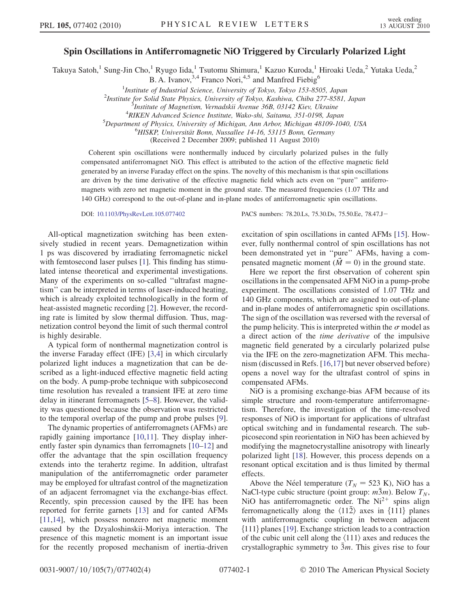## Spin Oscillations in Antiferromagnetic NiO Triggered by Circularly Polarized Light

Takuya Satoh,<sup>1</sup> Sung-Jin Cho,<sup>1</sup> Ryugo Iida,<sup>1</sup> Tsutomu Shimura,<sup>1</sup> Kazuo Kuroda,<sup>1</sup> Hiroaki Ueda,<sup>2</sup> Yutaka Ueda,<sup>2</sup> B. A. Ivanov,  $3,4$  Franco Nori,  $4,5$  and Manfred Fiebig<sup>6</sup>

<sup>1</sup>Institute of Industrial Science, University of Tokyo, Tokyo 153-8505, Japan<br><sup>2</sup>Institute for Solid State Physics, University of Tokyo, Kashiwa, Chiba 277, 8581

<sup>2</sup>Institute for Solid State Physics, University of Tokyo, Kashiwa, Chiba 277-8581, Japan

RIKEN Advanced Science Institute, Wako-shi, Saitama, 351-0198, Japan <sup>5</sup>

 $^5$ Department of Physics, University of Michigan, Ann Arbor, Michigan 48109-1040, USA

 $^{6}$ HISKP, Universität Bonn, Nussallee 14-16, 53115 Bonn, Germany

(Received 2 December 2009; published 11 August 2010)

Coherent spin oscillations were nonthermally induced by circularly polarized pulses in the fully compensated antiferromagnet NiO. This effect is attributed to the action of the effective magnetic field generated by an inverse Faraday effect on the spins. The novelty of this mechanism is that spin oscillations are driven by the time derivative of the effective magnetic field which acts even on ''pure'' antiferromagnets with zero net magnetic moment in the ground state. The measured frequencies (1.07 THz and 140 GHz) correspond to the out-of-plane and in-plane modes of antiferromagnetic spin oscillations.

DOI: [10.1103/PhysRevLett.105.077402](http://dx.doi.org/10.1103/PhysRevLett.105.077402) PACS numbers: 78.20.Ls, 75.30.Ds, 75.50.Ee, 78.47.J

All-optical magnetization switching has been extensively studied in recent years. Demagnetization within 1 ps was discovered by irradiating ferromagnetic nickel with femtosecond laser pulses [\[1](#page-3-0)]. This finding has stimulated intense theoretical and experimental investigations. Many of the experiments on so-called ''ultrafast magnetism'' can be interpreted in terms of laser-induced heating, which is already exploited technologically in the form of heat-assisted magnetic recording [\[2](#page-3-1)]. However, the recording rate is limited by slow thermal diffusion. Thus, magnetization control beyond the limit of such thermal control is highly desirable.

A typical form of nonthermal magnetization control is the inverse Faraday effect (IFE) [[3](#page-3-2),[4\]](#page-3-3) in which circularly polarized light induces a magnetization that can be described as a light-induced effective magnetic field acting on the body. A pump-probe technique with subpicosecond time resolution has revealed a transient IFE at zero time delay in itinerant ferromagnets [\[5](#page-3-4)–[8\]](#page-3-5). However, the validity was questioned because the observation was restricted to the temporal overlap of the pump and probe pulses [[9\]](#page-3-6).

The dynamic properties of antiferromagnets (AFMs) are rapidly gaining importance [\[10](#page-3-7)[,11\]](#page-3-8). They display inherently faster spin dynamics than ferromagnets [\[10–](#page-3-7)[12](#page-3-9)] and offer the advantage that the spin oscillation frequency extends into the terahertz regime. In addition, ultrafast manipulation of the antiferromagnetic order parameter may be employed for ultrafast control of the magnetization of an adjacent ferromagnet via the exchange-bias effect. Recently, spin precession caused by the IFE has been reported for ferrite garnets [\[13\]](#page-3-10) and for canted AFMs [\[11](#page-3-8)[,14\]](#page-3-11), which possess nonzero net magnetic moment caused by the Dzyaloshinskii-Moriya interaction. The presence of this magnetic moment is an important issue for the recently proposed mechanism of inertia-driven excitation of spin oscillations in canted AFMs [[15](#page-3-12)]. However, fully nonthermal control of spin oscillations has not been demonstrated yet in ''pure'' AFMs, having a compensated magnetic moment ( $\vec{M} = 0$ ) in the ground state.

Here we report the first observation of coherent spin oscillations in the compensated AFM NiO in a pump-probe experiment. The oscillations consisted of 1.07 THz and 140 GHz components, which are assigned to out-of-plane and in-plane modes of antiferromagnetic spin oscillations. The sign of the oscillation was reversed with the reversal of the pump helicity. This is interpreted within the  $\sigma$  model as a direct action of the time derivative of the impulsive magnetic field generated by a circularly polarized pulse via the IFE on the zero-magnetization AFM. This mechanism (discussed in Refs. [[16](#page-3-13),[17](#page-3-14)] but never observed before) opens a novel way for the ultrafast control of spins in compensated AFMs.

NiO is a promising exchange-bias AFM because of its simple structure and room-temperature antiferromagnetism. Therefore, the investigation of the time-resolved responses of NiO is important for applications of ultrafast optical switching and in fundamental research. The subpicosecond spin reorientation in NiO has been achieved by modifying the magnetocrystalline anisotropy with linearly polarized light [\[18\]](#page-3-15). However, this process depends on a resonant optical excitation and is thus limited by thermal effects.

Above the Néel temperature ( $T_N = 523$  K), NiO has a NaCl-type cubic structure (point group:  $m\overline{3}m$ ). Below  $T_N$ , NiO has antiferromagnetic order. The  $Ni<sup>2+</sup>$  spins align ferromagnetically along the  $\langle 11\overline{2}\rangle$  axes in  $\{111\}$  planes with antiferromagnetic coupling in between adjacent  $\{111\}$  planes [\[19\]](#page-3-16). Exchange striction leads to a contraction of the cubic unit cell along the  $\langle 111 \rangle$  axes and reduces the crystallographic symmetry to  $\bar{3}m$ . This gives rise to four

 ${}^{3}$ Institute of Magnetism, Vernadskii Avenue 36B, 03142 Kiev, Ukraine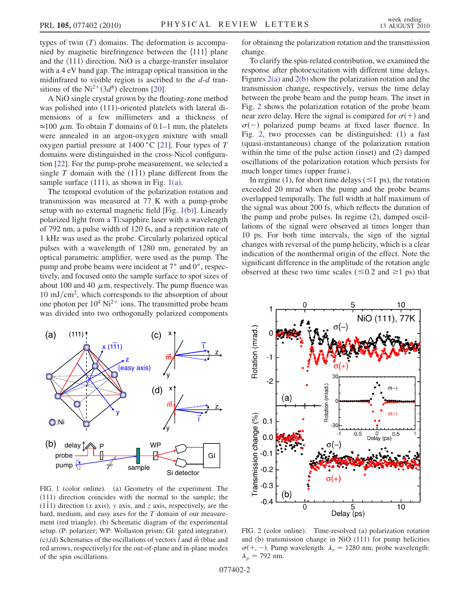types of twin  $(T)$  domains. The deformation is accompanied by magnetic birefringence between the  $\{111\}$  plane and the  $\langle 111 \rangle$  direction. NiO is a charge-transfer insulator with a 4 eV band gap. The intragap optical transition in the midinfrared to visible region is ascribed to the  $d-d$  transitions of the Ni<sup>2+</sup>(3 $d^8$ ) electrons [\[20\]](#page-3-17).

A NiO single crystal grown by the floating-zone method was polished into (111)-oriented platelets with lateral dimensions of a few millimeters and a thickness of  $\approx$ 100  $\mu$ m. To obtain T domains of 0.1–1 mm, the platelets were annealed in an argon-oxygen mixture with small were annealed in an argon-oxygen mixture with small oxygen partial pressure at  $1400 °C$  [[21](#page-3-18)]. Four types of T domains were distinguished in the cross-Nicol configuration [\[22\]](#page-3-19). For the pump-probe measurement, we selected a single T domain with the  $(1\bar{1}1)$  plane different from the sample surface (111), as shown in Fig. [1\(a\).](#page-1-0)

The temporal evolution of the polarization rotation and transmission was measured at 77 K with a pump-probe setup with no external magnetic field [Fig. [1\(b\)](#page-1-0)]. Linearly polarized light from a Ti:sapphire laser with a wavelength of 792 nm, a pulse width of 120 fs, and a repetition rate of 1 kHz was used as the probe. Circularly polarized optical pulses with a wavelength of 1280 nm, generated by an optical parametric amplifier, were used as the pump. The pump and probe beams were incident at 7° and 0°, respectively, and focused onto the sample surface to spot sizes of about 100 and 40  $\mu$ m, respectively. The pump fluence was  $10 \text{ mJ/cm}^2$ , which corresponds to the absorption of about one photon per  $10^4$  Ni<sup>2+</sup> ions. The transmitted probe beam was divided into two orthogonally polarized components

<span id="page-1-3"></span>

<span id="page-1-0"></span>FIG. 1 (color online). (a) Geometry of the experiment. The (111) direction coincides with the normal to the sample; the  $(1\overline{1}1)$  direction (x axis), y axis, and z axis, respectively, are the hard, medium, and easy axes for the T domain of our measurement (red triangle). (b) Schematic diagram of the experimental setup. (P: polarizer; WP: Wollaston prism; GI: gated integrator). (c),(d) Schematics of the oscillations of vectors  $\vec{l}$  and  $\vec{m}$  (blue and red arrows, respectively) for the out-of-plane and in-plane modes of the spin oscillations.

for obtaining the polarization rotation and the transmission change.

To clarify the spin-related contribution, we examined the response after photoexcitation with different time delays. Figures [2\(a\)](#page-1-1) and [2\(b\)](#page-1-1) show the polarization rotation and the transmission change, respectively, versus the time delay between the probe beam and the pump beam. The inset in Fig. [2](#page-1-2) shows the polarization rotation of the probe beam near zero delay. Here the signal is compared for  $\sigma$ (+) and  $\sigma(-)$  polarized pump beams at fixed laser fluence. In Fig. [2](#page-1-2), two processes can be distinguished: (1) a fast (quasi-instantaneous) change of the polarization rotation within the time of the pulse action (inset) and (2) damped oscillations of the polarization rotation which persists for much longer times (upper frame).

In regime (1), for short time delays ( $\leq$ 1 ps), the rotation exceeded 20 mrad when the pump and the probe beams overlapped temporally. The full width at half maximum of the signal was about 200 fs, which reflects the duration of the pump and probe pulses. In regime (2), damped oscillations of the signal were observed at times longer than 10 ps. For both time intervals, the sign of the signal changes with reversal of the pump helicity, which is a clear indication of the nonthermal origin of the effect. Note the significant difference in the amplitude of the rotation angle observed at these two time scales ( $\leq 0.2$  and  $\geq 1$  ps) that

<span id="page-1-2"></span>

<span id="page-1-1"></span>FIG. 2 (color online). Time-resolved (a) polarization rotation and (b) transmission change in NiO (111) for pump helicities  $\sigma(+, -)$ . Pump wavelength:  $\lambda_e = 1280$  nm; probe wavelength:  $\lambda_p$  = 792 nm.

077402-2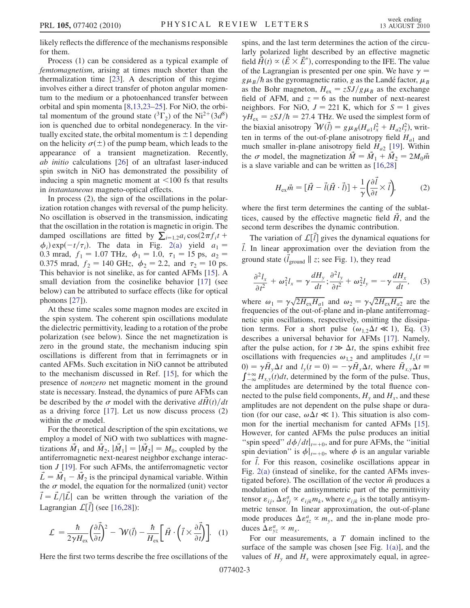likely reflects the difference of the mechanisms responsible for them.

Process (1) can be considered as a typical example of femtomagnetism, arising at times much shorter than the thermalization time [[23](#page-3-20)]. A description of this regime involves either a direct transfer of photon angular momentum to the medium or a photoenhanced transfer between orbital and spin momenta [\[8](#page-3-5),[13](#page-3-10)[,23](#page-3-20)–[25](#page-3-21)]. For NiO, the orbital momentum of the ground state  $({}^{3}\Gamma_{2})$  of the Ni<sup>2+</sup>(3d<sup>8</sup>) ion is quenched due to orbital nondegeneracy. In the virion is quenched due to orbital nondegeneracy. In the virtually excited state, the orbital momentum is  $\pm 1$  depending on the helicity  $\sigma(\pm)$  of the pump beam, which leads to the appearance of a transient magnetization. Recently, ab initio calculations [\[26\]](#page-3-22) of an ultrafast laser-induced spin switch in NiO has demonstrated the possibility of inducing a spin magnetic moment at  $\leq 100$  fs that results in instantaneous magneto-optical effects.

In process (2), the sign of the oscillations in the polarization rotation changes with reversal of the pump helicity. No oscillation is observed in the transmission, indicating that the oscillation in the rotation is magnetic in origin. The damped oscillations are fitted by  $\sum_{i=1,2} a_i \cos(2\pi f_i t + d_i) \exp(-t/\pi)$ . The data in Fig. 2(a) yield  $a_i =$  $\phi_i)$  exp $(-t/\tau_i)$ . The data in Fig. [2\(a\)](#page-1-1) yield  $a_1 =$ 0.3 mrad,  $f_1 = 1.07$  THz,  $\phi_1 = 1.0$ ,  $\tau_1 = 15$  ps,  $a_2 =$ 0.375 mrad,  $f_2 = 140 \text{ GHz}$ ,  $\phi_2 = 2.2$ , and  $\tau_2 = 10 \text{ ps}$ . This behavior is not sinelike, as for canted AFMs [[15](#page-3-12)]. A small deviation from the cosinelike behavior [[17](#page-3-14)] (see below) can be attributed to surface effects (like for optical phonons [[27](#page-3-23)]).

At these time scales some magnon modes are excited in the spin system. The coherent spin oscillations modulate the dielectric permittivity, leading to a rotation of the probe polarization (see below). Since the net magnetization is zero in the ground state, the mechanism inducing spin oscillations is different from that in ferrimagnets or in canted AFMs. Such excitation in NiO cannot be attributed to the mechanism discussed in Ref. [[15](#page-3-12)], for which the presence of nonzero net magnetic moment in the ground state is necessary. Instead, the dynamics of pure AFMs can be described by the  $\sigma$  model with the derivative  $dH(t)/dt$ as a driving force [[17\]](#page-3-14). Let us now discuss process (2) within the  $\sigma$  model.

For the theoretical description of the spin excitations, we employ a model of NiO with two sublattices with magnetizations  $\hat{M}_1$  and  $\hat{M}_2$ ,  $|\hat{M}_1| = |\hat{M}_2| = M_0$ , coupled by the antiferromagnetic next-nearest neighbor exchange interaction J [[19](#page-3-16)]. For such AFMs, the antiferromagnetic vector  $\vec{L} = \vec{M}_1 - \vec{M}_2$  is the principal dynamical variable. Within the  $\sigma$  model, the equation for the normalized (unit) vector  $\vec{l} = \vec{L}/|\vec{L}|$  can be written through the variation of the Lagrangian  $\mathcal{L}[\vec{l}]$  (see [\[16,](#page-3-13)[28\]](#page-3-24)):

$$
\mathcal{L} = \frac{\hbar}{2\gamma H_{\text{ex}}} \left(\frac{\partial \vec{l}}{\partial t}\right)^2 - \mathcal{W}(\vec{l}) - \frac{\hbar}{H_{\text{ex}}} \left[\vec{H} \cdot \left(\vec{l} \times \frac{\partial \vec{l}}{\partial t}\right)\right]. \tag{1}
$$

Here the first two terms describe the free oscillations of the

spins, and the last term determines the action of the circularly polarized light described by an effective magnetic field  $\vec{H}(t) \propto (\vec{E} \times \vec{E}^*)$ , corresponding to the IFE. The value<br>of the Lagrangian is presented per one spin. We have  $\gamma =$ of the Lagrangian is presented per one spin. We have  $\gamma =$  $g\mu_B/\hbar$  as the gyromagnetic ratio, g as the Landé factor,  $\mu_B$ as the Bohr magneton,  $H_{ex} = zS J/g\mu_B$  as the exchange<br>field of AEM, and  $z = 6$  as the number of next-nearest field of AFM, and  $z = 6$  as the number of next-nearest neighbors. For NiO,  $J = 221$  K, which for  $S = 1$  gives  $\gamma H_{\text{ex}} = z S J / \hbar = 27.4$  THz. We used the simplest form of the biaxial anisotropy  $\mathcal{W}(\vec{l}) = g \mu_B (H_{a1} l_x^2 + H_{a2} l_y^2)$ , writ-<br>ten in terms of the out-of-plane anisotropy field H and ten in terms of the out-of-plane anisotropy field  $H_{a1}$  and much smaller in-plane anisotropy field  $H_{a2}$  [[19](#page-3-16)]. Within the  $\sigma$  model, the magnetization  $\tilde{M} = \tilde{M}_1 + \tilde{M}_2 = 2M_0\tilde{m}$ is a slave variable and can be written as [\[16](#page-3-13)[,28\]](#page-3-24)

<span id="page-2-1"></span>
$$
H_{\text{ex}}\vec{m} = [\vec{H} - \vec{l}(\vec{H} \cdot \vec{l})] + \frac{1}{\gamma} \left(\frac{\partial \vec{l}}{\partial t} \times \vec{l}\right),\tag{2}
$$

where the first term determines the canting of the sublattices, caused by the effective magnetic field  $\tilde{H}$ , and the second term describes the dynamic contribution.

The variation of  $\mathcal{L}[\ell]$  gives the dynamical equations for  $l$ . In linear approximation over the deviation from the ground state  $(\vec{l}_{\text{ground}} || z; \text{see Fig. 1}),$  they read

<span id="page-2-0"></span>
$$
\frac{\partial^2 l_x}{\partial t^2} + \omega_1^2 l_x = \gamma \frac{dH_y}{dt}; \frac{\partial^2 l_y}{\partial t^2} + \omega_2^2 l_y = -\gamma \frac{dH_x}{dt}, \quad (3)
$$

where  $\omega_1 = \gamma \sqrt{2H_{\text{ex}}H_{a1}}$  and  $\omega_2 = \gamma \sqrt{2H_{\text{ex}}H_{a2}}$  are the frequencies of the out-of-plane and in-plane antiferromagfrequencies of the out-of-plane and in-plane antiferromagnetic spin oscillations, respectively, omitting the dissipation terms. For a short pulse  $(\omega_{1,2}\Delta t \ll 1)$ , Eq. [\(3\)](#page-2-0) describes a universal behavior for AFMs [[17](#page-3-14)]. Namely, after the pulse action, for  $t \gg \Delta t$ , the spins exhibit free<br>oscillations with frequencies  $\omega_{t, \alpha}$  and amplitudes  $l$  ( $t =$ oscillations with frequencies  $\omega_{1,2}$  and amplitudes  $l_x(t)$ 0) =  $\gamma \bar{H}_y \Delta t$  and  $l_y(t=0) = -\gamma \bar{H}_x \Delta t$ , where  $\bar{H}_{x,y} \Delta t$  $\int_{-\infty}^{+\infty} H_{x,y}(t)dt$ , determined by the form of the pulse. Thus, the amplitudes are determined by the total fluence connected to the pulse field components,  $H<sub>v</sub>$  and  $H<sub>x</sub>$ , and these amplitudes are not dependent on the pulse shape or duration (for our case,  $\omega \Delta t \ll 1$ ). This situation is also common for the inertial mechanism for canted AFMs [\[15\]](#page-3-12). However, for canted AFMs the pulse produces an initial "spin speed"  $d\phi/dt|_{t=+0}$ , and for pure AFMs, the "initial" spin deviation" is  $\phi|_{t=+0}$ , where  $\phi$  is an angular variable for  $\ell$ . For this reason, cosinelike oscillations appear in Fig. [2\(a\)](#page-1-1) (instead of sinelike, for the canted AFMs investigated before). The oscillation of the vector  $\vec{m}$  produces a modulation of the antisymmetric part of the permittivity tensor  $\varepsilon_{ij}$ ,  $\Delta \varepsilon_{ij}^a \propto \varepsilon_{ijk} m_k$ , where  $\varepsilon_{ijk}$  is the totally antisym-<br>metric tensor. In linear entroximation, the out of plane metric tensor. In linear approximation, the out-of-plane mode produces  $\Delta \varepsilon_{xz}^a \propto m_y$ , and the in-plane mode produces  $\Delta \varepsilon_{xz}^a \propto m$ duces  $\Delta \varepsilon_{yz}^a \propto m_x$ .<br>For our measur

For our measurements, a  $T$  domain inclined to the surface of the sample was chosen [see Fig. [1\(a\)](#page-1-0)], and the values of  $H<sub>v</sub>$  and  $H<sub>x</sub>$  were approximately equal, in agree